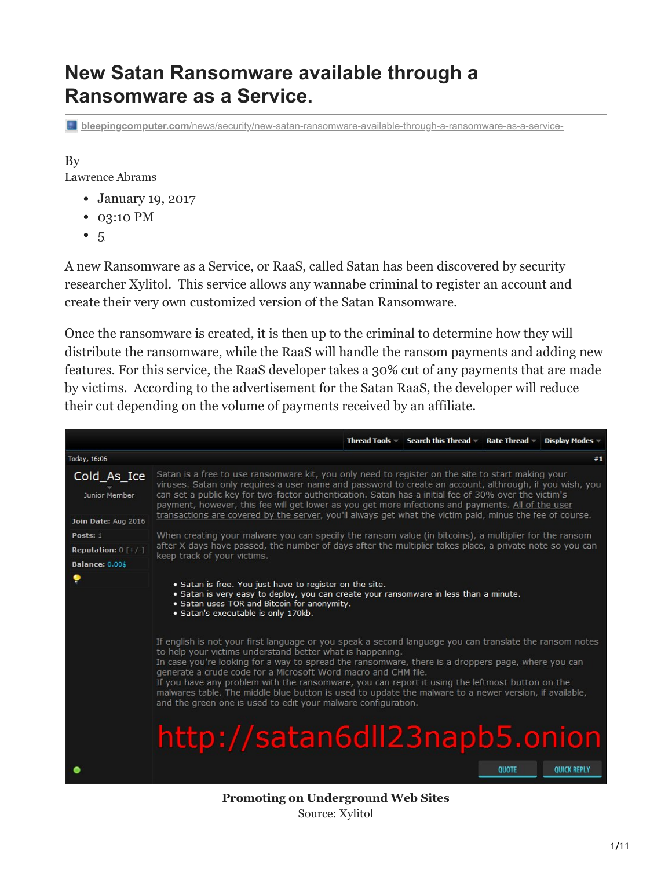# **New Satan Ransomware available through a Ransomware as a Service.**

**bleepingcomputer.com**[/news/security/new-satan-ransomware-available-through-a-ransomware-as-a-service-](https://www.bleepingcomputer.com/news/security/new-satan-ransomware-available-through-a-ransomware-as-a-service-/)

# By

[Lawrence Abrams](https://www.bleepingcomputer.com/author/lawrence-abrams/)

- January 19, 2017
- 03:10 PM
- $5$  $5$

A new Ransomware as a Service, or RaaS, called Satan has been [discovered](https://twitter.com/Xylit0l/status/821757718885236740) by security researcher [Xylitol](https://twitter.com/Xylit0l). This service allows any wannabe criminal to register an account and create their very own customized version of the Satan Ransomware.

Once the ransomware is created, it is then up to the criminal to determine how they will distribute the ransomware, while the RaaS will handle the ransom payments and adding new features. For this service, the RaaS developer takes a 30% cut of any payments that are made by victims. According to the advertisement for the Satan RaaS, the developer will reduce their cut depending on the volume of payments received by an affiliate.



**Promoting on Underground Web Sites** Source: Xylitol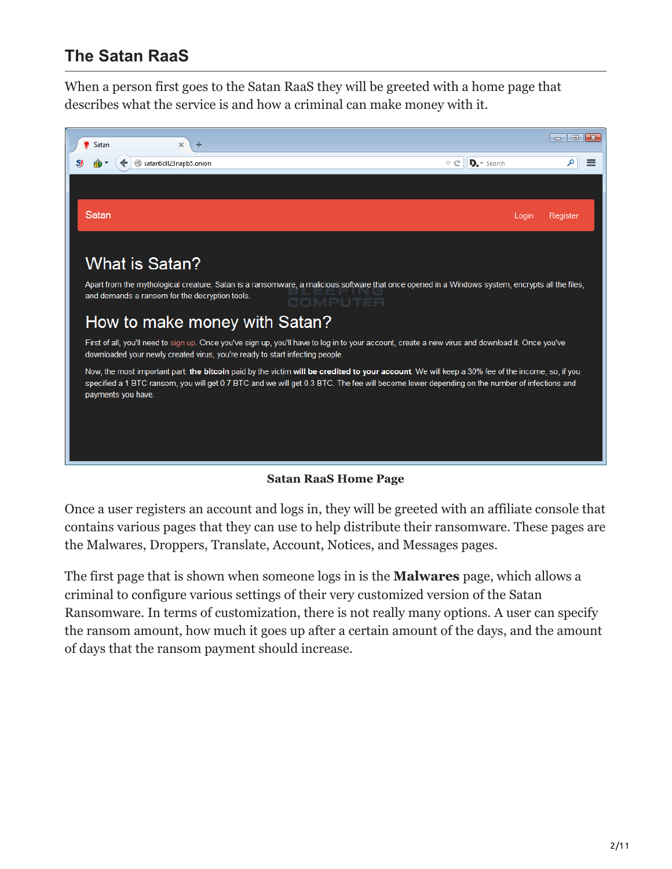## **The Satan RaaS**

When a person first goes to the Satan RaaS they will be greeted with a home page that describes what the service is and how a criminal can make money with it.



#### **Satan RaaS Home Page**

Once a user registers an account and logs in, they will be greeted with an affiliate console that contains various pages that they can use to help distribute their ransomware. These pages are the Malwares, Droppers, Translate, Account, Notices, and Messages pages.

The first page that is shown when someone logs in is the **Malwares** page, which allows a criminal to configure various settings of their very customized version of the Satan Ransomware. In terms of customization, there is not really many options. A user can specify the ransom amount, how much it goes up after a certain amount of the days, and the amount of days that the ransom payment should increase.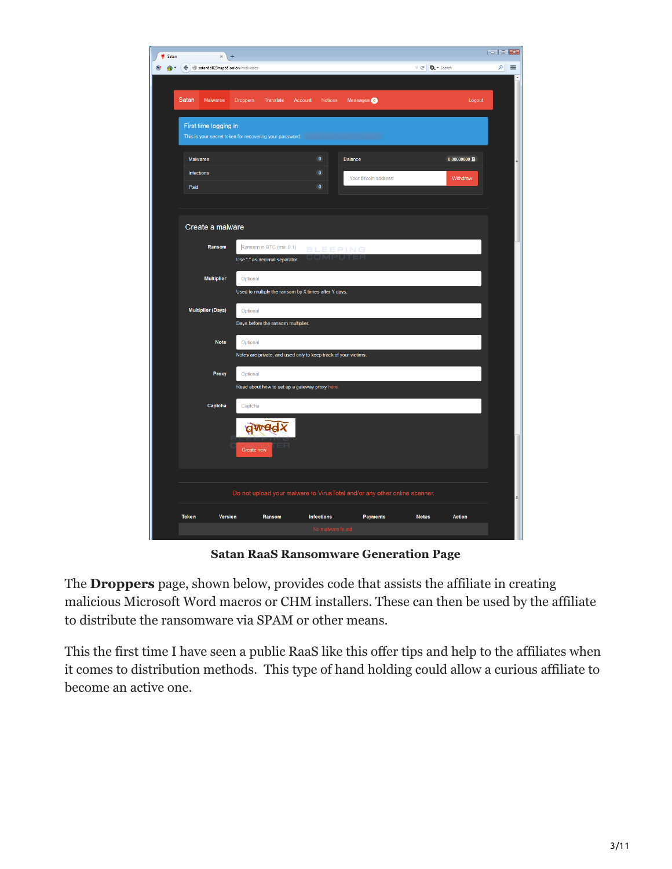| Satan        | ×                               | $+$        |                                                          |                   |                                                                 |                       |                                                                            |             |                          |
|--------------|---------------------------------|------------|----------------------------------------------------------|-------------------|-----------------------------------------------------------------|-----------------------|----------------------------------------------------------------------------|-------------|--------------------------|
| [⊕ ≁         | Satan6dll23napb5.onion/malwares |            |                                                          |                   |                                                                 |                       | $\triangledown$ C' $\blacksquare$ $\blacksquare$ $\triangledown$ Search    |             | $\mathsf{P}$<br>$\equiv$ |
|              |                                 |            |                                                          |                   |                                                                 |                       |                                                                            |             |                          |
| Satan        | Malwares                        | Droppers   | Translate                                                | Account           | Notices                                                         | Messages <sup>0</sup> |                                                                            | Logout      |                          |
|              | First time logging in           |            |                                                          |                   |                                                                 |                       |                                                                            |             |                          |
|              |                                 |            | This is your secret token for recovering your password:  |                   |                                                                 |                       |                                                                            |             |                          |
| Malwares     |                                 |            |                                                          | $\pmb{0}$         | Balance                                                         |                       |                                                                            | 0.00000000B |                          |
| Infections   |                                 |            |                                                          | $\pmb{0}$         |                                                                 | Your bitcoin address  |                                                                            | Withdraw    |                          |
| Paid         |                                 |            |                                                          | $\pmb{0}$         |                                                                 |                       |                                                                            |             |                          |
|              |                                 |            |                                                          |                   |                                                                 |                       |                                                                            |             |                          |
|              | Create a malware                |            |                                                          |                   |                                                                 |                       |                                                                            |             |                          |
|              |                                 |            |                                                          |                   |                                                                 |                       |                                                                            |             |                          |
|              | Ransom                          |            | Ransom in BTC (min 0.1)<br>Use "." as decimal separator. |                   | <b>BLEEPING</b>                                                 |                       |                                                                            |             |                          |
|              |                                 |            |                                                          |                   |                                                                 |                       |                                                                            |             |                          |
|              | <b>Multiplier</b>               | Optional   | Used to multiply the ransom by X times after Y days.     |                   |                                                                 |                       |                                                                            |             |                          |
|              | <b>Multiplier (Days)</b>        | Optional   |                                                          |                   |                                                                 |                       |                                                                            |             |                          |
|              |                                 |            | Days before the ransom multiplier.                       |                   |                                                                 |                       |                                                                            |             |                          |
|              | <b>Note</b>                     | Optional   |                                                          |                   |                                                                 |                       |                                                                            |             |                          |
|              |                                 |            |                                                          |                   | Notes are private, and used only to keep track of your victims. |                       |                                                                            |             |                          |
|              | Proxy                           | Optional   |                                                          |                   |                                                                 |                       |                                                                            |             |                          |
|              |                                 |            | Read about how to set up a gateway proxy here.           |                   |                                                                 |                       |                                                                            |             |                          |
|              | Captcha                         | Captcha    |                                                          |                   |                                                                 |                       |                                                                            |             |                          |
|              |                                 |            |                                                          |                   |                                                                 |                       |                                                                            |             |                          |
|              |                                 |            | qwadx                                                    |                   |                                                                 |                       |                                                                            |             |                          |
|              |                                 | Create new |                                                          |                   |                                                                 |                       |                                                                            |             |                          |
|              |                                 |            |                                                          |                   |                                                                 |                       |                                                                            |             |                          |
|              |                                 |            |                                                          |                   |                                                                 |                       |                                                                            |             |                          |
|              |                                 |            |                                                          |                   |                                                                 |                       | Do not upload your malware to Virus Total and/or any other online scanner. |             |                          |
| <b>Token</b> | Version                         |            | Ransom                                                   | <b>Infections</b> |                                                                 | <b>Payments</b>       | <b>Notes</b>                                                               | Action      |                          |
|              |                                 |            |                                                          |                   | No malware found.                                               |                       |                                                                            |             |                          |

**Satan RaaS Ransomware Generation Page**

The **Droppers** page, shown below, provides code that assists the affiliate in creating malicious Microsoft Word macros or CHM installers. These can then be used by the affiliate to distribute the ransomware via SPAM or other means.

This the first time I have seen a public RaaS like this offer tips and help to the affiliates when it comes to distribution methods. This type of hand holding could allow a curious affiliate to become an active one.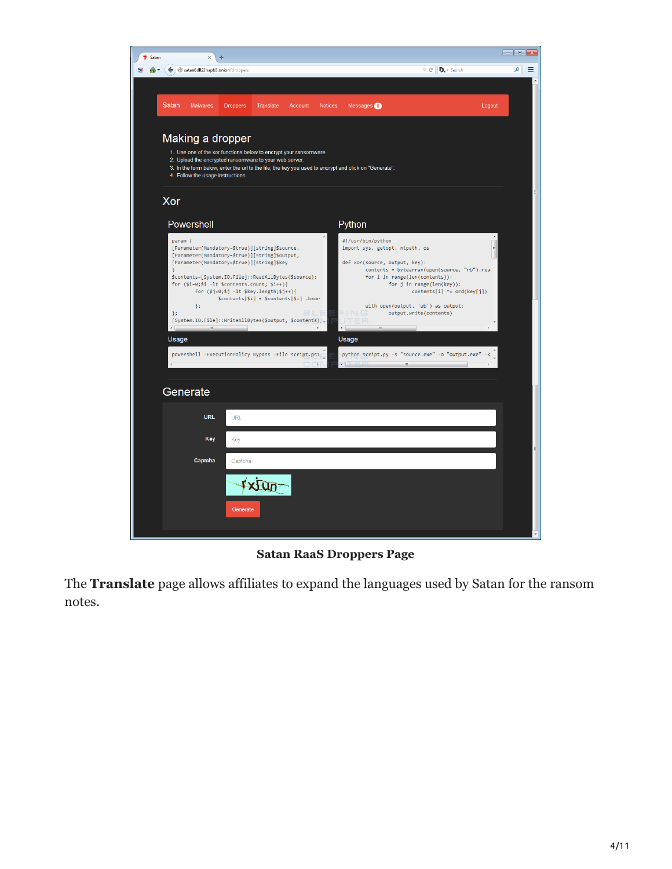

**Satan RaaS Droppers Page**

The **Translate** page allows affiliates to expand the languages used by Satan for the ransom notes.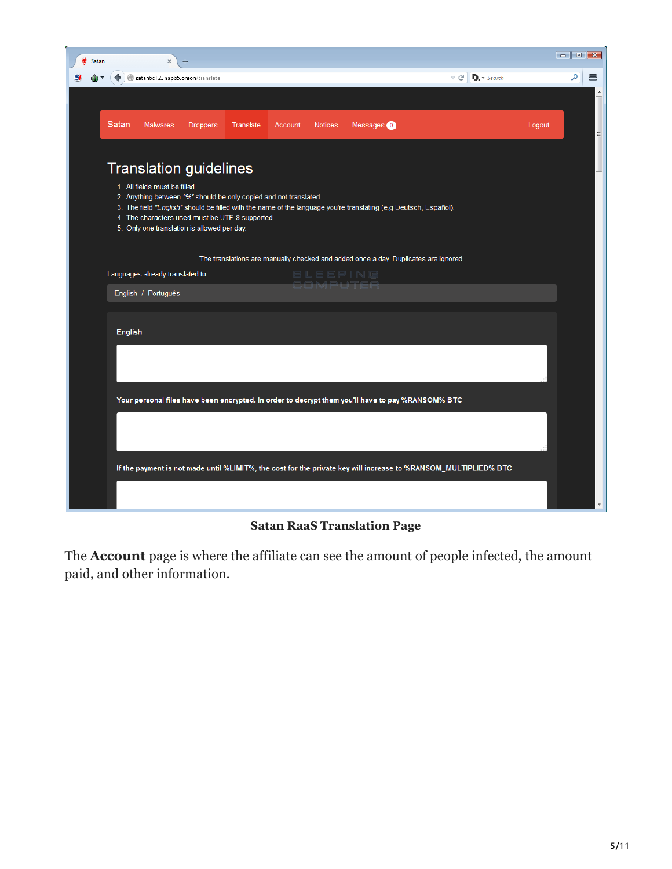| Satan |                | $\times$                         | ÷                                                                                                                                                                                                    |           |         |                 |                                                                                                                  |                                                                                                                 |        |   |          |
|-------|----------------|----------------------------------|------------------------------------------------------------------------------------------------------------------------------------------------------------------------------------------------------|-----------|---------|-----------------|------------------------------------------------------------------------------------------------------------------|-----------------------------------------------------------------------------------------------------------------|--------|---|----------|
|       |                | satan6dll23napb5.onion/translate |                                                                                                                                                                                                      |           |         |                 |                                                                                                                  | $D$ . $\sim$ Search<br>c<br>$\bigtriangledown$                                                                  |        | م | $\equiv$ |
|       |                |                                  |                                                                                                                                                                                                      |           |         |                 |                                                                                                                  |                                                                                                                 |        |   |          |
|       | Satan          | <b>Malwares</b>                  | <b>Droppers</b>                                                                                                                                                                                      | Translate | Account | <b>Notices</b>  | Messages <b>O</b>                                                                                                |                                                                                                                 | Logout |   | Ξ        |
|       |                | 1. All fields must be filled.    | <b>Translation guidelines</b><br>2. Anything between "%" should be only copied and not translated.<br>4. The characters used must be UTF-8 supported.<br>5. Only one translation is allowed per day. |           |         |                 | 3. The field "English" should be filled with the name of the language you're translating (e.g Deutsch, Español). |                                                                                                                 |        |   |          |
|       |                | Languages already translated to: |                                                                                                                                                                                                      |           |         | 8 L E E P I N G | The translations are manually checked and added once a day. Duplicates are ignored.                              |                                                                                                                 |        |   |          |
|       |                | English / Português              |                                                                                                                                                                                                      |           |         |                 |                                                                                                                  |                                                                                                                 |        |   |          |
|       | <b>English</b> |                                  |                                                                                                                                                                                                      |           |         |                 |                                                                                                                  |                                                                                                                 |        |   |          |
|       |                |                                  |                                                                                                                                                                                                      |           |         |                 |                                                                                                                  |                                                                                                                 |        |   |          |
|       |                |                                  |                                                                                                                                                                                                      |           |         |                 | Your personal files have been encrypted. In order to decrypt them you'll have to pay %RANSOM% BTC                |                                                                                                                 |        |   |          |
|       |                |                                  |                                                                                                                                                                                                      |           |         |                 |                                                                                                                  |                                                                                                                 |        |   |          |
|       |                |                                  |                                                                                                                                                                                                      |           |         |                 |                                                                                                                  | If the payment is not made until %LIMIT%, the cost for the private key will increase to %RANSOM_MULTIPLIED% BTC |        |   |          |
|       |                |                                  |                                                                                                                                                                                                      |           |         |                 |                                                                                                                  |                                                                                                                 |        |   |          |

**Satan RaaS Translation Page**

The **Account** page is where the affiliate can see the amount of people infected, the amount paid, and other information.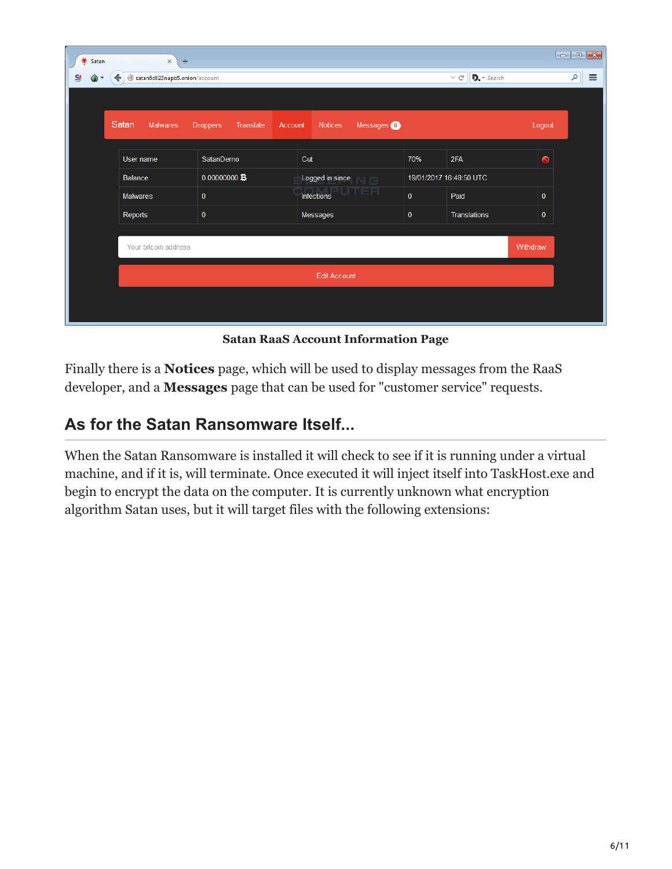| ۷<br>Satan | $\rm \times$<br>÷                   |                              |                           |                       |     |                                                                                      |              | $\begin{array}{ c c c c c }\hline \multicolumn{1}{ c }{\mathbf{C}} & \multicolumn{1}{ c }{\mathbf{X}} \\\hline \multicolumn{1}{ c }{\mathbf{C}} & \multicolumn{1}{ c }{\mathbf{X}} \\\hline \end{array}$ |
|------------|-------------------------------------|------------------------------|---------------------------|-----------------------|-----|--------------------------------------------------------------------------------------|--------------|----------------------------------------------------------------------------------------------------------------------------------------------------------------------------------------------------------|
| $S_{l}$    | satan6dll23napb5.onion/account<br>↞ |                              |                           |                       |     | $D_{1}$ $\rightarrow$ Search<br>$\mathrel{\triangledown} \, \mathrel{\mathcal{C}}^i$ |              | م<br>$\equiv$                                                                                                                                                                                            |
|            |                                     |                              |                           |                       |     |                                                                                      |              |                                                                                                                                                                                                          |
|            | Satan<br><b>Malwares</b>            | <b>Droppers</b><br>Translate | Account<br><b>Notices</b> | Messages <sup>0</sup> |     |                                                                                      | Logout       |                                                                                                                                                                                                          |
|            | User name                           | SatanDemo                    | Cut                       |                       | 70% | 2FA                                                                                  | $\bullet$    |                                                                                                                                                                                                          |
|            | Balance                             | 0.00000000                   |                           | Logged in since       |     | 19/01/2017 16:48:50 UTC                                                              |              |                                                                                                                                                                                                          |
|            | Malwares                            | $\pmb{0}$                    | Infections                | 'ER                   |     | Paid                                                                                 | $\mathbf{0}$ |                                                                                                                                                                                                          |
|            | Reports                             | $\pmb{0}$                    | Messages                  |                       |     | Translations                                                                         | $\mathbf{0}$ |                                                                                                                                                                                                          |
|            |                                     |                              |                           |                       |     |                                                                                      |              |                                                                                                                                                                                                          |
|            | Your bitcoin address                |                              |                           |                       |     |                                                                                      | Withdraw     |                                                                                                                                                                                                          |
|            |                                     |                              | <b>Edit Account</b>       |                       |     |                                                                                      |              |                                                                                                                                                                                                          |
|            |                                     |                              |                           |                       |     |                                                                                      |              |                                                                                                                                                                                                          |

**Satan RaaS Account Information Page**

Finally there is a **Notices** page, which will be used to display messages from the RaaS developer, and a **Messages** page that can be used for "customer service" requests.

## **As for the Satan Ransomware Itself...**

When the Satan Ransomware is installed it will check to see if it is running under a virtual machine, and if it is, will terminate. Once executed it will inject itself into TaskHost.exe and begin to encrypt the data on the computer. It is currently unknown what encryption algorithm Satan uses, but it will target files with the following extensions: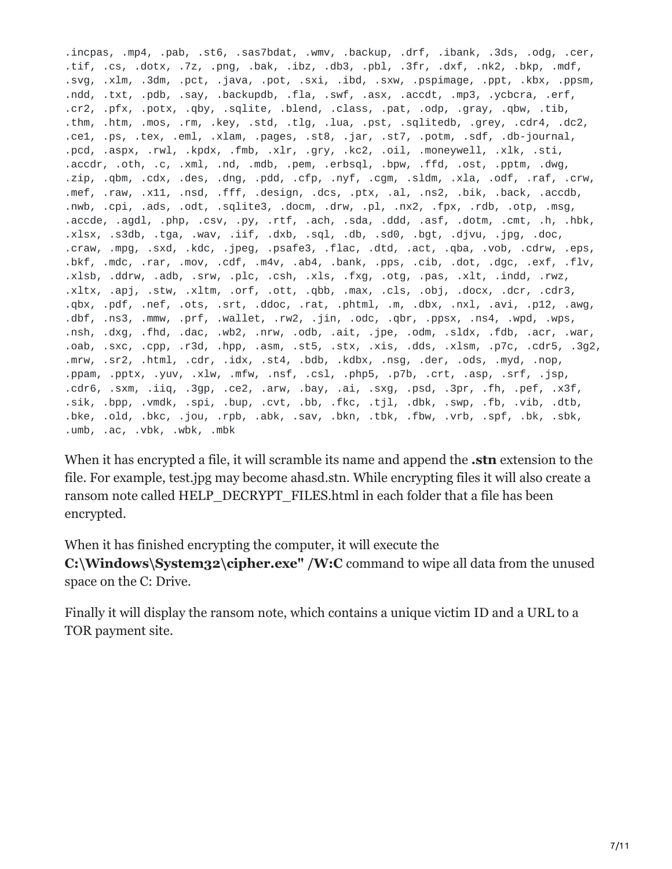.incpas, .mp4, .pab, .st6, .sas7bdat, .wmv, .backup, .drf, .ibank, .3ds, .odg, .cer, .tif, .cs, .dotx, .7z, .png, .bak, .ibz, .db3, .pbl, .3fr, .dxf, .nk2, .bkp, .mdf, .svg, .xlm, .3dm, .pct, .java, .pot, .sxi, .ibd, .sxw, .pspimage, .ppt, .kbx, .ppsm, .ndd, .txt, .pdb, .say, .backupdb, .fla, .swf, .asx, .accdt, .mp3, .ycbcra, .erf, .cr2, .pfx, .potx, .qby, .sqlite, .blend, .class, .pat, .odp, .gray, .qbw, .tib, .thm, .htm, .mos, .rm, .key, .std, .tlg, .lua, .pst, .sqlitedb, .grey, .cdr4, .dc2, .ce1, .ps, .tex, .eml, .xlam, .pages, .st8, .jar, .st7, .potm, .sdf, .db-journal, .pcd, .aspx, .rwl, .kpdx, .fmb, .xlr, .gry, .kc2, .oil, .moneywell, .xlk, .sti, .accdr, .oth, .c, .xml, .nd, .mdb, .pem, .erbsql, .bpw, .ffd, .ost, .pptm, .dwg, .zip, .qbm, .cdx, .des, .dng, .pdd, .cfp, .nyf, .cgm, .sldm, .xla, .odf, .raf, .crw, .mef, .raw, .x11, .nsd, .fff, .design, .dcs, .ptx, .al, .ns2, .bik, .back, .accdb, .nwb, .cpi, .ads, .odt, .sqlite3, .docm, .drw, .pl, .nx2, .fpx, .rdb, .otp, .msg, .accde, .agdl, .php, .csv, .py, .rtf, .ach, .sda, .ddd, .asf, .dotm, .cmt, .h, .hbk, .xlsx, .s3db, .tga, .wav, .iif, .dxb, .sql, .db, .sd0, .bgt, .djvu, .jpg, .doc, .craw, .mpg, .sxd, .kdc, .jpeg, .psafe3, .flac, .dtd, .act, .qba, .vob, .cdrw, .eps, .bkf, .mdc, .rar, .mov, .cdf, .m4v, .ab4, .bank, .pps, .cib, .dot, .dgc, .exf, .flv, .xlsb, .ddrw, .adb, .srw, .plc, .csh, .xls, .fxg, .otg, .pas, .xlt, .indd, .rwz, .xltx, .apj, .stw, .xltm, .orf, .ott, .qbb, .max, .cls, .obj, .docx, .dcr, .cdr3, .qbx, .pdf, .nef, .ots, .srt, .ddoc, .rat, .phtml, .m, .dbx, .nxl, .avi, .p12, .awg, .dbf, .ns3, .mmw, .prf, .wallet, .rw2, .jin, .odc, .qbr, .ppsx, .ns4, .wpd, .wps, .nsh, .dxg, .fhd, .dac, .wb2, .nrw, .odb, .ait, .jpe, .odm, .sldx, .fdb, .acr, .war, .oab, .sxc, .cpp, .r3d, .hpp, .asm, .st5, .stx, .xis, .dds, .xlsm, .p7c, .cdr5, .3g2, .mrw, .sr2, .html, .cdr, .idx, .st4, .bdb, .kdbx, .nsg, .der, .ods, .myd, .nop, .ppam, .pptx, .yuv, .xlw, .mfw, .nsf, .csl, .php5, .p7b, .crt, .asp, .srf, .jsp, .cdr6, .sxm, .iiq, .3gp, .ce2, .arw, .bay, .ai, .sxg, .psd, .3pr, .fh, .pef, .x3f, .sik, .bpp, .vmdk, .spi, .bup, .cvt, .bb, .fkc, .tjl, .dbk, .swp, .fb, .vib, .dtb, .bke, .old, .bkc, .jou, .rpb, .abk, .sav, .bkn, .tbk, .fbw, .vrb, .spf, .bk, .sbk, .umb, .ac, .vbk, .wbk, .mbk

When it has encrypted a file, it will scramble its name and append the **.stn** extension to the file. For example, test.jpg may become ahasd.stn. While encrypting files it will also create a ransom note called HELP\_DECRYPT\_FILES.html in each folder that a file has been encrypted.

When it has finished encrypting the computer, it will execute the **C:\Windows\System32\cipher.exe" /W:C** command to wipe all data from the unused space on the C: Drive.

Finally it will display the ransom note, which contains a unique victim ID and a URL to a TOR payment site.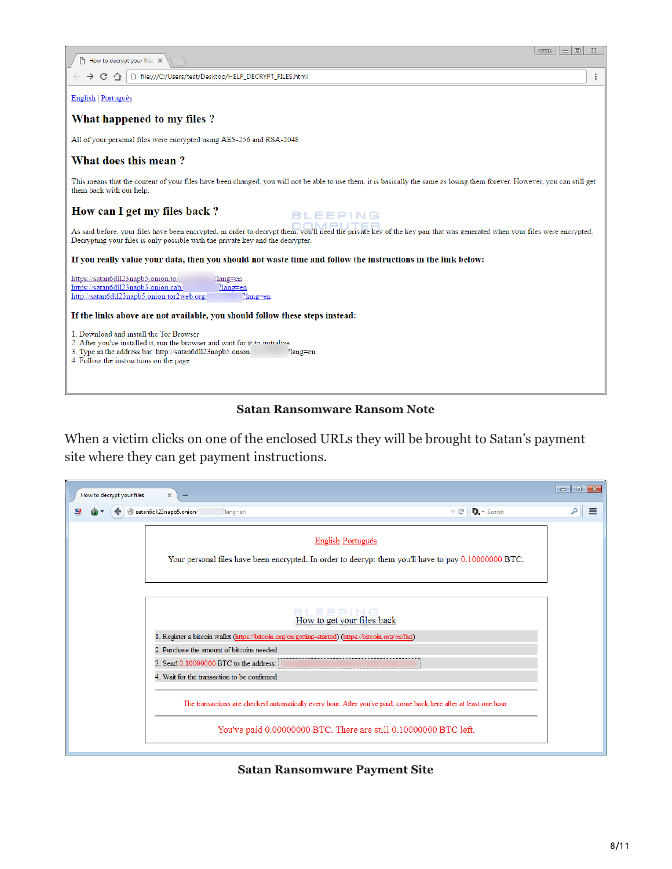| $\chi$<br>▣<br><b>URBIO</b><br>$\overline{\phantom{0}}$<br>How to decrypt your files X                                                                                                                                                                                                                        |
|---------------------------------------------------------------------------------------------------------------------------------------------------------------------------------------------------------------------------------------------------------------------------------------------------------------|
| □ file:///C:/Users/test/Desktop/HELP_DECRYPT_FILES.html<br>$\rightarrow$ C $\land$                                                                                                                                                                                                                            |
| <b>English   Português</b>                                                                                                                                                                                                                                                                                    |
| What happened to my files?                                                                                                                                                                                                                                                                                    |
| All of your personal files were encrypted using AES-256 and RSA-2048                                                                                                                                                                                                                                          |
| What does this mean?                                                                                                                                                                                                                                                                                          |
| This means that the content of your files have been changed, you will not be able to use them, it is basically the same as losing them forever. However, you can still get<br>them back with our help.                                                                                                        |
| How can I get my files back?<br><b>BLEEPING</b><br>As said before, your files have been encrypted, in order to decrypt them, you'll need the private key of the key pair that was generated when your files were encrypted.<br>Decrypting your files is only possible with the private key and the decrypter. |
| If you really value your data, then you should not waste time and follow the instructions in the link below:                                                                                                                                                                                                  |
| https://satan6dll23napb5.onion.to/<br>?lang=en<br>https://satan6dll23napb5.onion.cab/<br>?lang=en<br>http://satan6dll23napb5.onion.tor2web.org/<br>$?$ lang=en                                                                                                                                                |
| If the links above are not available, you should follow these steps instead:                                                                                                                                                                                                                                  |
| 1. Download and install the Tor Browser<br>2. After you've installed it, run the browser and wait for it to initialize<br>3. Type in the address bar: http://satan6dl123napb5.onion/<br>?lang=en<br>4. Follow the instructions on the page                                                                    |

#### **Satan Ransomware Ransom Note**

When a victim clicks on one of the enclosed URLs they will be brought to Satan's payment site where they can get payment instructions.

| How to decrypt your files<br>$\times$<br>$+$ |                                                                                                                                           |                                           | $\begin{array}{ c c c c c }\hline \multicolumn{1}{ c }{\mathbf{C}} & \multicolumn{1}{ c }{\mathbf{S}} & \multicolumn{1}{ c }{\mathbf{S}}\hline \end{array}$ |          |
|----------------------------------------------|-------------------------------------------------------------------------------------------------------------------------------------------|-------------------------------------------|-------------------------------------------------------------------------------------------------------------------------------------------------------------|----------|
| S!<br>satan6dll23napb5.onion/                | ?lang=en                                                                                                                                  | $\n  D.\n  Search\n$<br>$\triangledown$ C | م                                                                                                                                                           | $\equiv$ |
|                                              | English Português<br>Your personal files have been encrypted. In order to decrypt them you'll have to pay 0.10000000 BTC.                 |                                           |                                                                                                                                                             |          |
|                                              | EPING<br>How to get your files back<br>1. Register a bitcoin wallet (https://bitcoin.org/en/getting-started) (https://bitcoin.org/en/faq) |                                           |                                                                                                                                                             |          |
|                                              | 2. Purchase the amount of bitcoins needed<br>3. Send 0.10000000 BTC to the address:                                                       |                                           |                                                                                                                                                             |          |
|                                              | 4. Wait for the transaction to be confirmed                                                                                               |                                           |                                                                                                                                                             |          |
|                                              | The transactions are checked automatically every hour. After you've paid, come back here after at least one hour.                         |                                           |                                                                                                                                                             |          |
|                                              | You've paid 0.00000000 BTC. There are still 0.10000000 BTC left.                                                                          |                                           |                                                                                                                                                             |          |

#### **Satan Ransomware Payment Site**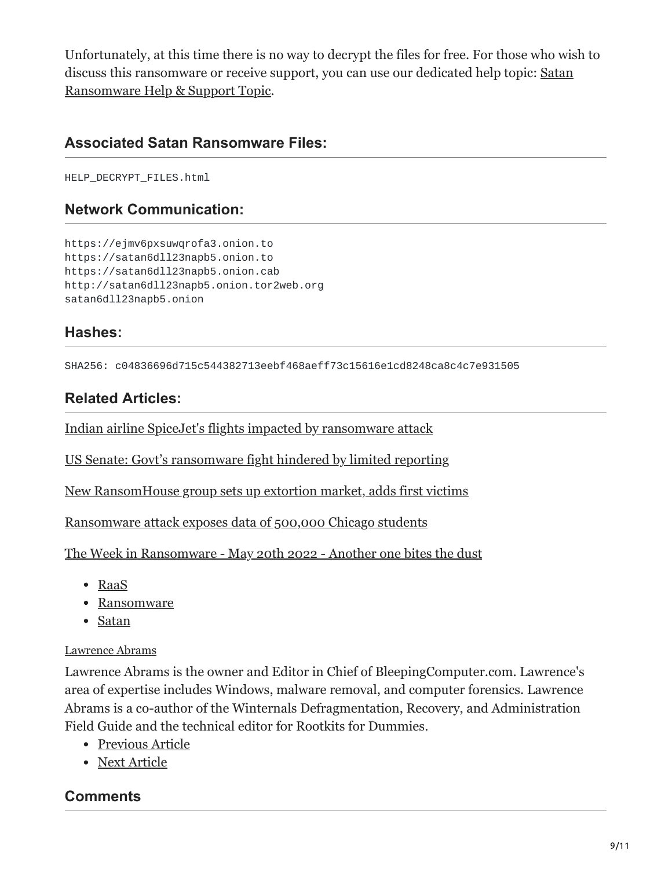Unfortunately, at this time there is no way to decrypt the files for free. For those who wish to [discuss this ransomware or receive support, you can use our dedicated help topic: Satan](https://www.bleepingcomputer.com/forums/t/637811/satan-ransomware-help-support-topic-stn-extension-help-decrypt-fileshtml/) Ransomware Help & Support Topic.

#### **Associated Satan Ransomware Files:**

HELP\_DECRYPT\_FILES.html

#### **Network Communication:**

https://ejmv6pxsuwqrofa3.onion.to https://satan6dll23napb5.onion.to https://satan6dll23napb5.onion.cab http://satan6dll23napb5.onion.tor2web.org satan6dll23napb5.onion

#### **Hashes:**

SHA256: c04836696d715c544382713eebf468aeff73c15616e1cd8248ca8c4c7e931505

## **Related Articles:**

[Indian airline SpiceJet's flights impacted by ransomware attack](https://www.bleepingcomputer.com/news/security/indian-airline-spicejets-flights-impacted-by-ransomware-attack/)

[US Senate: Govt's ransomware fight hindered by limited reporting](https://www.bleepingcomputer.com/news/security/us-senate-govt-s-ransomware-fight-hindered-by-limited-reporting/)

[New RansomHouse group sets up extortion market, adds first victims](https://www.bleepingcomputer.com/news/security/new-ransomhouse-group-sets-up-extortion-market-adds-first-victims/)

[Ransomware attack exposes data of 500,000 Chicago students](https://www.bleepingcomputer.com/news/security/ransomware-attack-exposes-data-of-500-000-chicago-students/)

[The Week in Ransomware - May 20th 2022 - Another one bites the dust](https://www.bleepingcomputer.com/news/security/the-week-in-ransomware-may-20th-2022-another-one-bites-the-dust/)

- [RaaS](https://www.bleepingcomputer.com/tag/raas/)
- [Ransomware](https://www.bleepingcomputer.com/tag/ransomware/)
- [Satan](https://www.bleepingcomputer.com/tag/satan/)

#### [Lawrence Abrams](https://www.bleepingcomputer.com/author/lawrence-abrams/)

Lawrence Abrams is the owner and Editor in Chief of BleepingComputer.com. Lawrence's area of expertise includes Windows, malware removal, and computer forensics. Lawrence Abrams is a co-author of the Winternals Defragmentation, Recovery, and Administration Field Guide and the technical editor for Rootkits for Dummies.

- [Previous Article](https://www.bleepingcomputer.com/news/security/someones-assembling-ragebot-botnet-using-self-propagating-windows-worm/)
- [Next Article](https://www.bleepingcomputer.com/news/microsoft/windows-10-insider-build-15014-can-auto-delete-temp-and-old-recycle-bin-files/)

### <span id="page-8-0"></span>**Comments**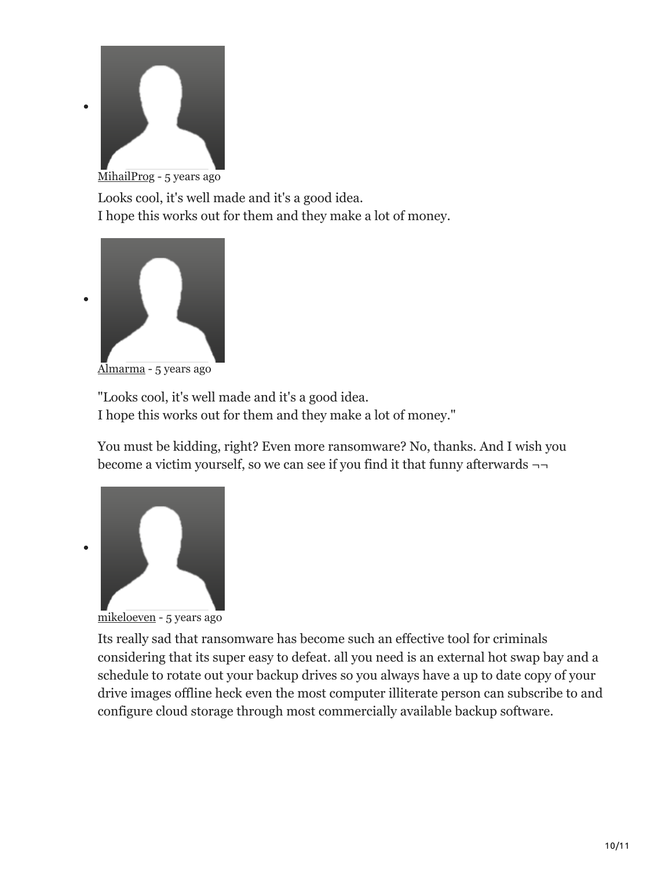

Looks cool, it's well made and it's a good idea. I hope this works out for them and they make a lot of money.



 $\bullet$ 

[Almarma](https://www.bleepingcomputer.com/forums/u/983190/almarma/) - 5 years ago

"Looks cool, it's well made and it's a good idea. I hope this works out for them and they make a lot of money."

You must be kidding, right? Even more ransomware? No, thanks. And I wish you become a victim yourself, so we can see if you find it that funny afterwards ¬¬



[mikeloeven](https://www.bleepingcomputer.com/forums/u/671459/mikeloeven/) - 5 years ago

Its really sad that ransomware has become such an effective tool for criminals considering that its super easy to defeat. all you need is an external hot swap bay and a schedule to rotate out your backup drives so you always have a up to date copy of your drive images offline heck even the most computer illiterate person can subscribe to and configure cloud storage through most commercially available backup software.